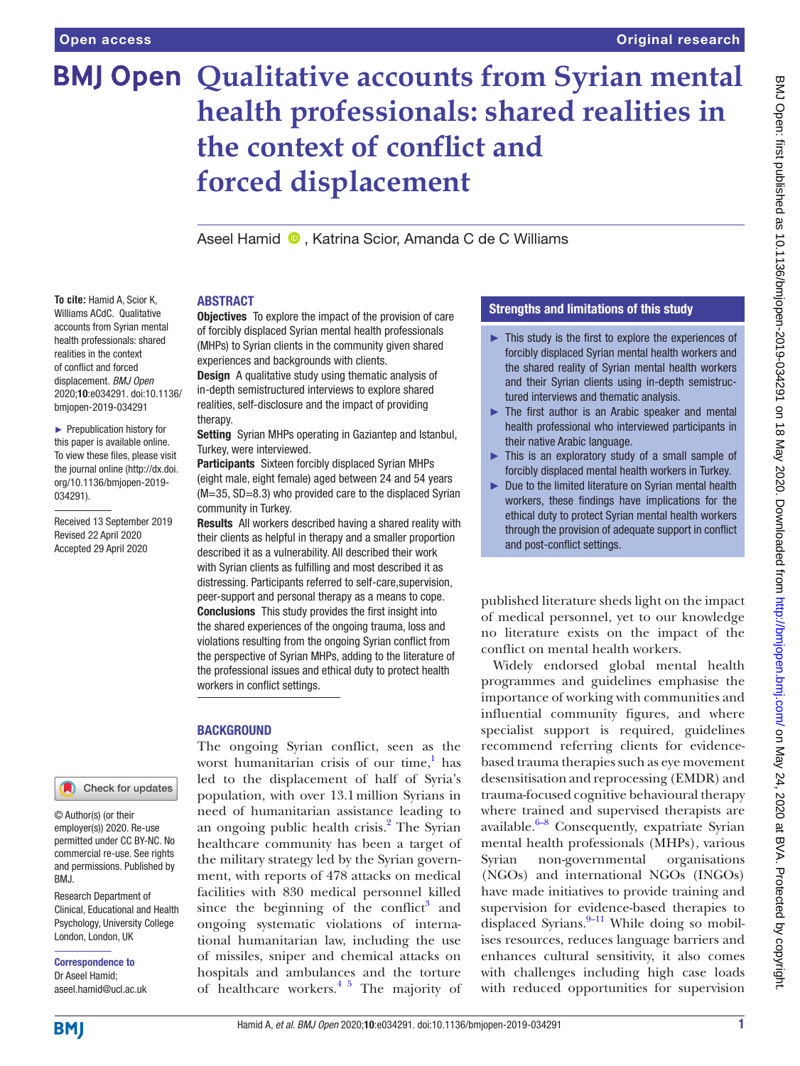# **BMJ Open Qualitative accounts from Syrian mental health professionals: shared realities in the context of conflict and forced displacement**

AseelHamid  $\bullet$ . Katrina Scior, Amanda C de C Williams

#### **ABSTRACT**

**To cite:** Hamid A, Scior K, Williams ACdC. Qualitative accounts from Syrian mental health professionals: shared realities in the context of conflict and forced displacement. *BMJ Open* 2020;10:e034291. doi:10.1136/ bmjopen-2019-034291

► Prepublication history for this paper is available online. To view these files, please visit the journal online (http://dx.doi. org/10.1136/bmjopen-2019- 034291).

Received 13 September 2019 Revised 22 April 2020 Accepted 29 April 2020

#### Check for updates

© Author(s) (or their employer(s)) 2020. Re-use permitted under CC BY-NC. No commercial re-use. See rights and permissions. Published by RM<sub>J</sub>

Research Department of Clinical, Educational and Health Psychology, University College London, London, UK

Correspondence to Dr Aseel Hamid; aseel.hamid@ucl.ac.uk **Objectives** To explore the impact of the provision of care of forcibly displaced Syrian mental health professionals (MHPs) to Syrian clients in the community given shared experiences and backgrounds with clients.

Design A qualitative study using thematic analysis of in-depth semistructured interviews to explore shared realities, self-disclosure and the impact of providing therany

Setting Syrian MHPs operating in Gaziantep and Istanbul, Turkey, were interviewed.

Participants Sixteen forcibly displaced Syrian MHPs (eight male, eight female) aged between 24 and 54 years (M=35, SD=8.3) who provided care to the displaced Syrian community in Turkey.

Results All workers described having a shared reality with their clients as helpful in therapy and a smaller proportion described it as a vulnerability. All described their work with Syrian clients as fulfilling and most described it as distressing. Participants referred to self-care,supervision, peer-support and personal therapy as a means to cope. Conclusions This study provides the first insight into the shared experiences of the ongoing trauma, loss and violations resulting from the ongoing Syrian conflict from the perspective of Syrian MHPs, adding to the literature of the professional issues and ethical duty to protect health workers in conflict settings.

# **BACKGROUND**

The ongoing Syrian conflict, seen as the worst humanitarian crisis of our time,<sup>[1](#page-6-0)</sup> has led to the displacement of half of Syria's population, with over 13.1million Syrians in need of humanitarian assistance leading to an ongoing public health crisis.<sup>[2](#page-6-1)</sup> The Syrian healthcare community has been a target of the military strategy led by the Syrian government, with reports of 478 attacks on medical facilities with 830 medical personnel killed since the beginning of the conflict<sup>[3](#page-7-0)</sup> and ongoing systematic violations of international humanitarian law, including the use of missiles, sniper and chemical attacks on hospitals and ambulances and the torture of healthcare workers. $4 \frac{4}{3}$  The majority of

# Strengths and limitations of this study

- ► This study is the first to explore the experiences of forcibly displaced Syrian mental health workers and the shared reality of Syrian mental health workers and their Syrian clients using in-depth semistructured interviews and thematic analysis.
- ► The first author is an Arabic speaker and mental health professional who interviewed participants in their native Arabic language.
- ► This is an exploratory study of a small sample of forcibly displaced mental health workers in Turkey.
- ► Due to the limited literature on Syrian mental health workers, these findings have implications for the ethical duty to protect Syrian mental health workers through the provision of adequate support in conflict and post-conflict settings.

published literature sheds light on the impact of medical personnel, yet to our knowledge no literature exists on the impact of the conflict on mental health workers.

Widely endorsed global mental health programmes and guidelines emphasise the importance of working with communities and influential community figures, and where specialist support is required, guidelines recommend referring clients for evidencebased trauma therapies such as eye movement desensitisation and reprocessing (EMDR) and trauma-focused cognitive behavioural therapy where trained and supervised therapists are available. $6-8$  Consequently, expatriate Syrian mental health professionals (MHPs), various Syrian non-governmental organisations (NGOs) and international NGOs (INGOs) have made initiatives to provide training and supervision for evidence-based therapies to displaced Syrians. $9-11$  While doing so mobilises resources, reduces language barriers and enhances cultural sensitivity, it also comes with challenges including high case loads with reduced opportunities for supervision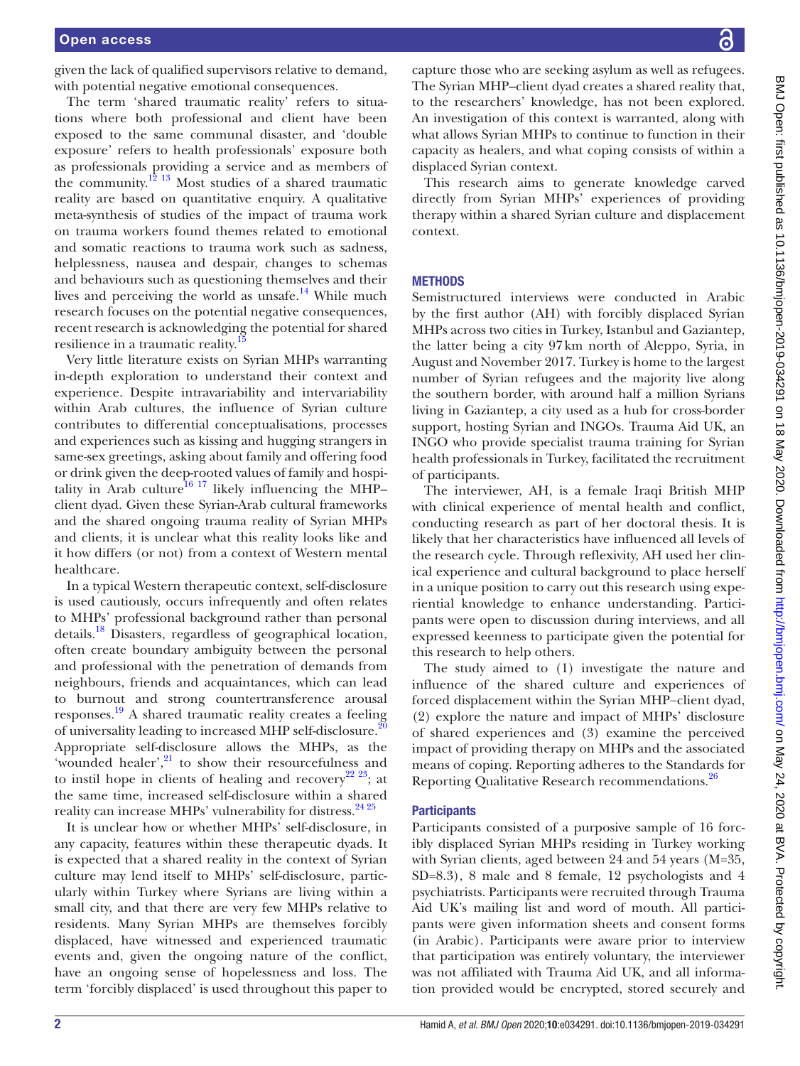given the lack of qualified supervisors relative to demand, with potential negative emotional consequences.

The term 'shared traumatic reality' refers to situations where both professional and client have been exposed to the same communal disaster, and 'double exposure' refers to health professionals' exposure both as professionals providing a service and as members of the community.<sup>12 13</sup> Most studies of a shared traumatic reality are based on quantitative enquiry. A qualitative meta-synthesis of studies of the impact of trauma work on trauma workers found themes related to emotional and somatic reactions to trauma work such as sadness, helplessness, nausea and despair, changes to schemas and behaviours such as questioning themselves and their lives and perceiving the world as unsafe. $^{14}$  While much research focuses on the potential negative consequences, recent research is acknowledging the potential for shared resilience in a traumatic reality.<sup>[15](#page-7-6)</sup>

Very little literature exists on Syrian MHPs warranting in-depth exploration to understand their context and experience. Despite intravariability and intervariability within Arab cultures, the influence of Syrian culture contributes to differential conceptualisations, processes and experiences such as kissing and hugging strangers in same-sex greetings, asking about family and offering food or drink given the deep-rooted values of family and hospi-tality in Arab culture<sup>[16 17](#page-7-7)</sup> likely influencing the MHP– client dyad. Given these Syrian-Arab cultural frameworks and the shared ongoing trauma reality of Syrian MHPs and clients, it is unclear what this reality looks like and it how differs (or not) from a context of Western mental healthcare.

In a typical Western therapeutic context, self-disclosure is used cautiously, occurs infrequently and often relates to MHPs' professional background rather than personal details[.18](#page-7-8) Disasters, regardless of geographical location, often create boundary ambiguity between the personal and professional with the penetration of demands from neighbours, friends and acquaintances, which can lead to burnout and strong countertransference arousal responses.<sup>[19](#page-7-9)</sup> A shared traumatic reality creates a feeling of universality leading to increased MHP self-disclosure.<sup>20</sup> Appropriate self-disclosure allows the MHPs, as the 'wounded healer', $21$  to show their resourcefulness and to instil hope in clients of healing and recovery<sup>22 23</sup>; at the same time, increased self-disclosure within a shared reality can increase MHPs' vulnerability for distress.<sup>24 25</sup>

It is unclear how or whether MHPs' self-disclosure, in any capacity, features within these therapeutic dyads. It is expected that a shared reality in the context of Syrian culture may lend itself to MHPs' self-disclosure, particularly within Turkey where Syrians are living within a small city, and that there are very few MHPs relative to residents. Many Syrian MHPs are themselves forcibly displaced, have witnessed and experienced traumatic events and, given the ongoing nature of the conflict, have an ongoing sense of hopelessness and loss. The term 'forcibly displaced' is used throughout this paper to

capture those who are seeking asylum as well as refugees. The Syrian MHP–client dyad creates a shared reality that, to the researchers' knowledge, has not been explored. An investigation of this context is warranted, along with what allows Syrian MHPs to continue to function in their capacity as healers, and what coping consists of within a displaced Syrian context.

This research aims to generate knowledge carved directly from Syrian MHPs' experiences of providing therapy within a shared Syrian culture and displacement context.

## **METHODS**

Semistructured interviews were conducted in Arabic by the first author (AH) with forcibly displaced Syrian MHPs across two cities in Turkey, Istanbul and Gaziantep, the latter being a city 97km north of Aleppo, Syria, in August and November 2017. Turkey is home to the largest number of Syrian refugees and the majority live along the southern border, with around half a million Syrians living in Gaziantep, a city used as a hub for cross-border support, hosting Syrian and INGOs. Trauma Aid UK, an INGO who provide specialist trauma training for Syrian health professionals in Turkey, facilitated the recruitment of participants.

The interviewer, AH, is a female Iraqi British MHP with clinical experience of mental health and conflict, conducting research as part of her doctoral thesis. It is likely that her characteristics have influenced all levels of the research cycle. Through reflexivity, AH used her clinical experience and cultural background to place herself in a unique position to carry out this research using experiential knowledge to enhance understanding. Participants were open to discussion during interviews, and all expressed keenness to participate given the potential for this research to help others.

The study aimed to (1) investigate the nature and influence of the shared culture and experiences of forced displacement within the Syrian MHP−client dyad, (2) explore the nature and impact of MHPs' disclosure of shared experiences and (3) examine the perceived impact of providing therapy on MHPs and the associated means of coping. Reporting adheres to the Standards for Reporting Qualitative Research recommendations.<sup>[26](#page-7-14)</sup>

# **Participants**

Participants consisted of a purposive sample of 16 forcibly displaced Syrian MHPs residing in Turkey working with Syrian clients, aged between 24 and 54 years (M=35, SD=8.3), 8 male and 8 female, 12 psychologists and 4 psychiatrists. Participants were recruited through Trauma Aid UK's mailing list and word of mouth. All participants were given information sheets and consent forms (in Arabic). Participants were aware prior to interview that participation was entirely voluntary, the interviewer was not affiliated with Trauma Aid UK, and all information provided would be encrypted, stored securely and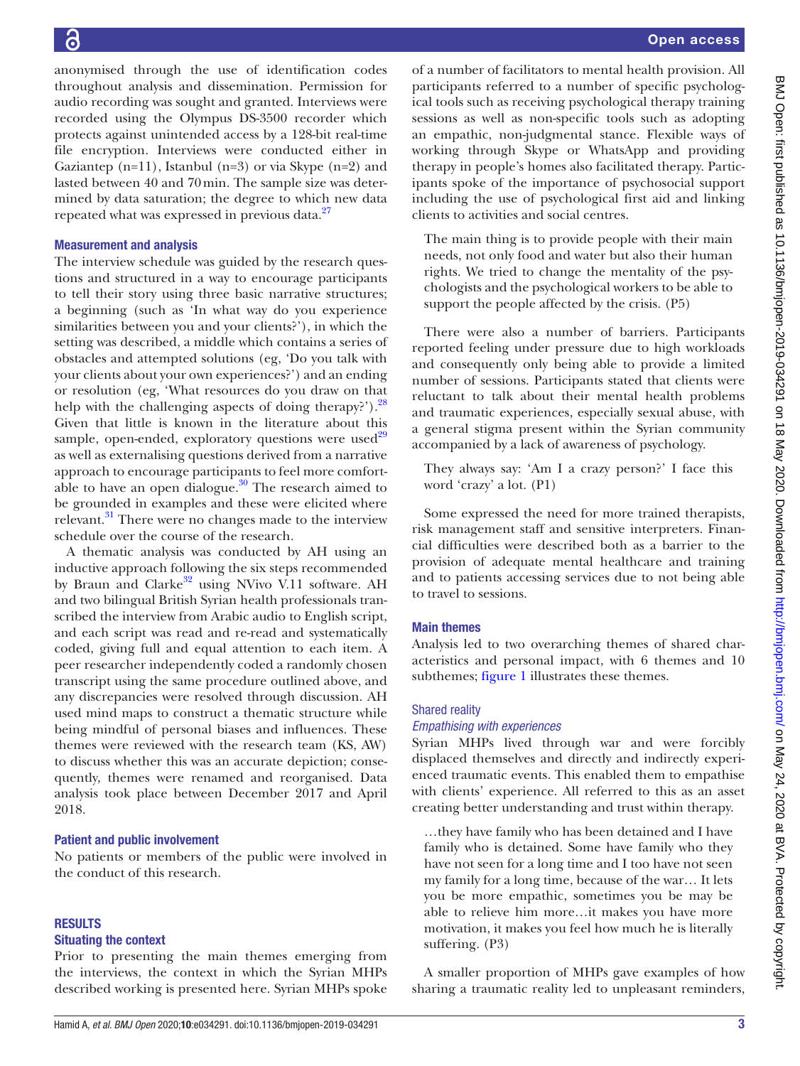anonymised through the use of identification codes throughout analysis and dissemination. Permission for audio recording was sought and granted. Interviews were recorded using the Olympus DS-3500 recorder which protects against unintended access by a 128-bit real-time file encryption. Interviews were conducted either in Gaziantep  $(n=11)$ , Istanbul  $(n=3)$  or via Skype  $(n=2)$  and lasted between 40 and 70min. The sample size was determined by data saturation; the degree to which new data repeated what was expressed in previous data.<sup>[27](#page-7-15)</sup>

## Measurement and analysis

The interview schedule was guided by the research questions and structured in a way to encourage participants to tell their story using three basic narrative structures; a beginning (such as 'In what way do you experience similarities between you and your clients?'), in which the setting was described, a middle which contains a series of obstacles and attempted solutions (eg, 'Do you talk with your clients about your own experiences?') and an ending or resolution (eg, 'What resources do you draw on that help with the challenging aspects of doing therapy?').<sup>28</sup> Given that little is known in the literature about this sample, open-ended, exploratory questions were used $^{29}$ as well as externalising questions derived from a narrative approach to encourage participants to feel more comfortable to have an open dialogue. $30$  The research aimed to be grounded in examples and these were elicited where relevant.<sup>31</sup> There were no changes made to the interview schedule over the course of the research.

A thematic analysis was conducted by AH using an inductive approach following the six steps recommended by Braun and Clarke<sup>[32](#page-7-20)</sup> using NVivo V.11 software. AH and two bilingual British Syrian health professionals transcribed the interview from Arabic audio to English script, and each script was read and re-read and systematically coded, giving full and equal attention to each item. A peer researcher independently coded a randomly chosen transcript using the same procedure outlined above, and any discrepancies were resolved through discussion. AH used mind maps to construct a thematic structure while being mindful of personal biases and influences. These themes were reviewed with the research team (KS, AW) to discuss whether this was an accurate depiction; consequently, themes were renamed and reorganised. Data analysis took place between December 2017 and April 2018.

#### Patient and public involvement

No patients or members of the public were involved in the conduct of this research.

# **RESULTS**

#### Situating the context

Prior to presenting the main themes emerging from the interviews, the context in which the Syrian MHPs described working is presented here. Syrian MHPs spoke

of a number of facilitators to mental health provision. All participants referred to a number of specific psychological tools such as receiving psychological therapy training sessions as well as non-specific tools such as adopting an empathic, non-judgmental stance. Flexible ways of working through Skype or WhatsApp and providing therapy in people's homes also facilitated therapy. Participants spoke of the importance of psychosocial support including the use of psychological first aid and linking clients to activities and social centres.

The main thing is to provide people with their main needs, not only food and water but also their human rights. We tried to change the mentality of the psychologists and the psychological workers to be able to support the people affected by the crisis. (P5)

There were also a number of barriers. Participants reported feeling under pressure due to high workloads and consequently only being able to provide a limited number of sessions. Participants stated that clients were reluctant to talk about their mental health problems and traumatic experiences, especially sexual abuse, with a general stigma present within the Syrian community accompanied by a lack of awareness of psychology.

They always say: 'Am I a crazy person?' I face this word 'crazy' a lot. (P1)

Some expressed the need for more trained therapists, risk management staff and sensitive interpreters. Financial difficulties were described both as a barrier to the provision of adequate mental healthcare and training and to patients accessing services due to not being able to travel to sessions.

# Main themes

Analysis led to two overarching themes of shared characteristics and personal impact, with 6 themes and 10 subthemes; [figure](#page-3-0) 1 illustrates these themes.

#### Shared reality

#### *Empathising with experiences*

Syrian MHPs lived through war and were forcibly displaced themselves and directly and indirectly experienced traumatic events. This enabled them to empathise with clients' experience. All referred to this as an asset creating better understanding and trust within therapy.

…they have family who has been detained and I have family who is detained. Some have family who they have not seen for a long time and I too have not seen my family for a long time, because of the war… It lets you be more empathic, sometimes you be may be able to relieve him more…it makes you have more motivation, it makes you feel how much he is literally suffering. (P3)

A smaller proportion of MHPs gave examples of how sharing a traumatic reality led to unpleasant reminders,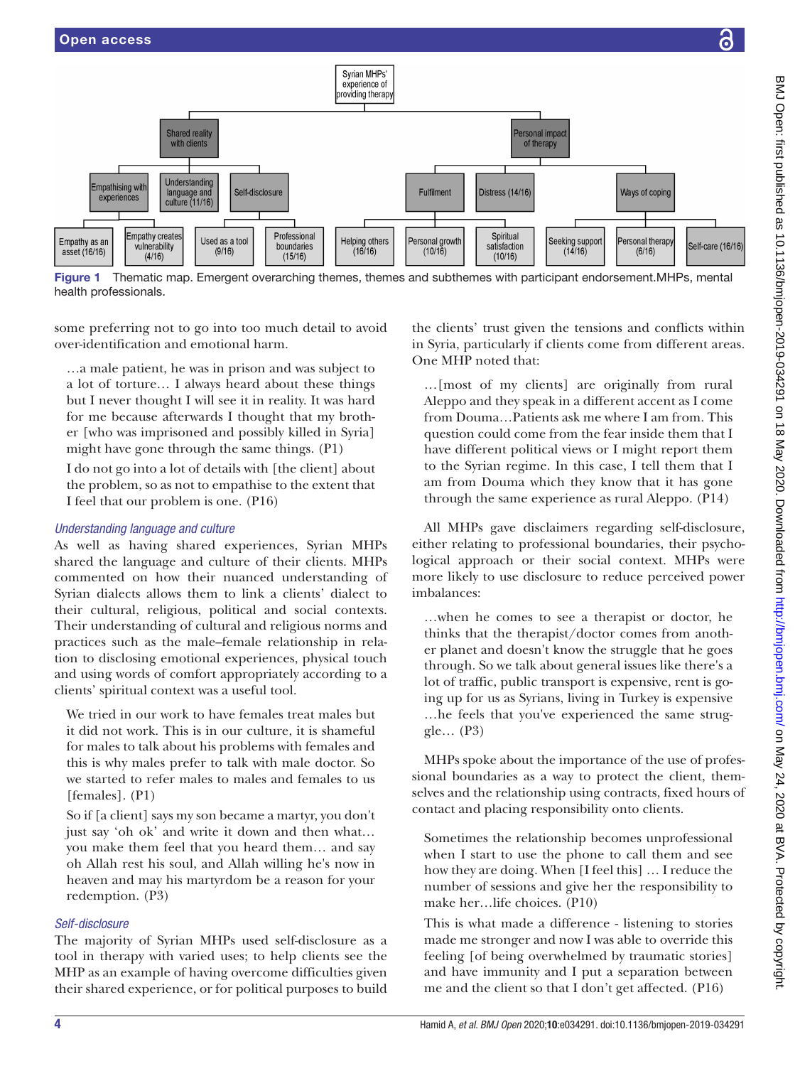



<span id="page-3-0"></span>Figure 1 Thematic map. Emergent overarching themes, themes and subthemes with participant endorsement.MHPs, mental health professionals.

some preferring not to go into too much detail to avoid over-identification and emotional harm.

…a male patient, he was in prison and was subject to a lot of torture… I always heard about these things but I never thought I will see it in reality. It was hard for me because afterwards I thought that my brother [who was imprisoned and possibly killed in Syria] might have gone through the same things. (P1)

I do not go into a lot of details with [the client] about the problem, so as not to empathise to the extent that I feel that our problem is one. (P16)

## *Understanding language and culture*

As well as having shared experiences, Syrian MHPs shared the language and culture of their clients. MHPs commented on how their nuanced understanding of Syrian dialects allows them to link a clients' dialect to their cultural, religious, political and social contexts. Their understanding of cultural and religious norms and practices such as the male–female relationship in relation to disclosing emotional experiences, physical touch and using words of comfort appropriately according to a clients' spiritual context was a useful tool.

We tried in our work to have females treat males but it did not work. This is in our culture, it is shameful for males to talk about his problems with females and this is why males prefer to talk with male doctor. So we started to refer males to males and females to us [females]. (P1)

So if [a client] says my son became a martyr, you don't just say 'oh ok' and write it down and then what… you make them feel that you heard them… and say oh Allah rest his soul, and Allah willing he's now in heaven and may his martyrdom be a reason for your redemption. (P3)

#### *Self-disclosure*

The majority of Syrian MHPs used self-disclosure as a tool in therapy with varied uses; to help clients see the MHP as an example of having overcome difficulties given their shared experience, or for political purposes to build the clients' trust given the tensions and conflicts within in Syria, particularly if clients come from different areas. One MHP noted that:

…[most of my clients] are originally from rural Aleppo and they speak in a different accent as I come from Douma…Patients ask me where I am from. This question could come from the fear inside them that I have different political views or I might report them to the Syrian regime. In this case, I tell them that I am from Douma which they know that it has gone through the same experience as rural Aleppo. (P14)

All MHPs gave disclaimers regarding self-disclosure, either relating to professional boundaries, their psychological approach or their social context. MHPs were more likely to use disclosure to reduce perceived power imbalances:

…when he comes to see a therapist or doctor, he thinks that the therapist/doctor comes from another planet and doesn't know the struggle that he goes through. So we talk about general issues like there's a lot of traffic, public transport is expensive, rent is going up for us as Syrians, living in Turkey is expensive …he feels that you've experienced the same struggle… (P3)

MHPs spoke about the importance of the use of professional boundaries as a way to protect the client, themselves and the relationship using contracts, fixed hours of contact and placing responsibility onto clients.

Sometimes the relationship becomes unprofessional when I start to use the phone to call them and see how they are doing. When [I feel this] … I reduce the number of sessions and give her the responsibility to make her…life choices. (P10)

This is what made a difference - listening to stories made me stronger and now I was able to override this feeling [of being overwhelmed by traumatic stories] and have immunity and I put a separation between me and the client so that I don't get affected. (P16)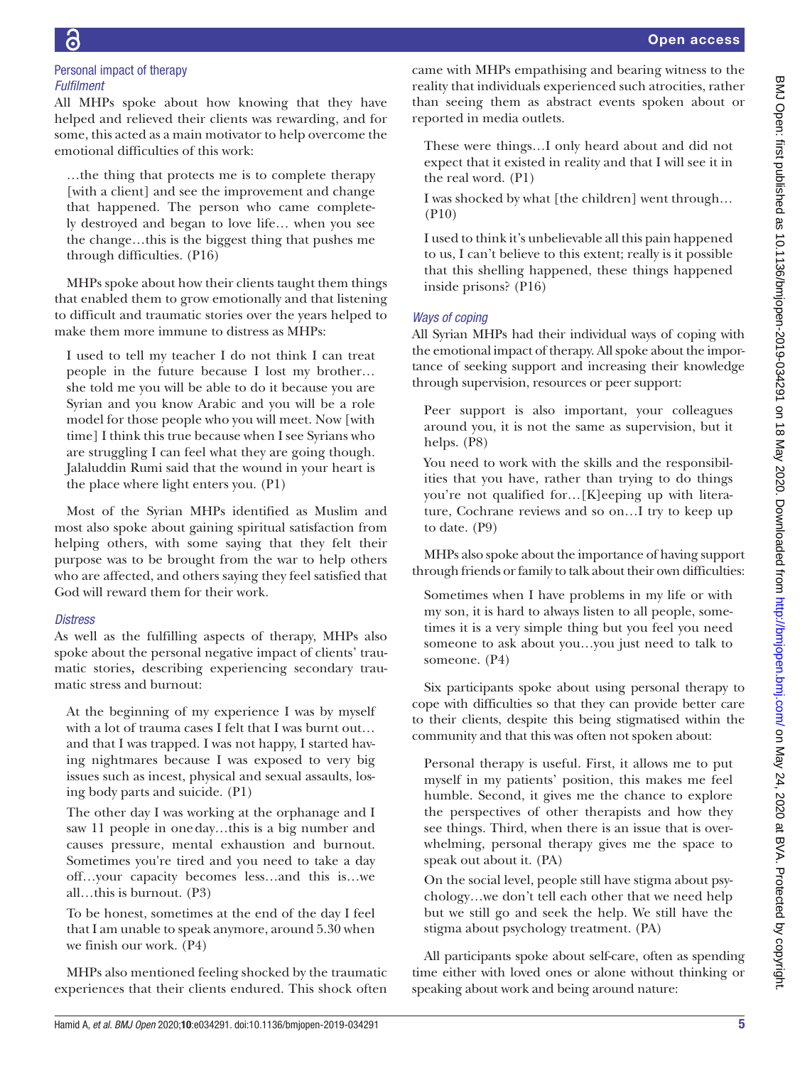# Personal impact of therapy *Fulfilment*

All MHPs spoke about how knowing that they have helped and relieved their clients was rewarding, and for some, this acted as a main motivator to help overcome the emotional difficulties of this work:

…the thing that protects me is to complete therapy [with a client] and see the improvement and change that happened. The person who came completely destroyed and began to love life… when you see the change…this is the biggest thing that pushes me through difficulties. (P16)

MHPs spoke about how their clients taught them things that enabled them to grow emotionally and that listening to difficult and traumatic stories over the years helped to make them more immune to distress as MHPs:

I used to tell my teacher I do not think I can treat people in the future because I lost my brother… she told me you will be able to do it because you are Syrian and you know Arabic and you will be a role model for those people who you will meet. Now [with time] I think this true because when I see Syrians who are struggling I can feel what they are going though. Jalaluddin Rumi said that the wound in your heart is the place where light enters you. (P1)

Most of the Syrian MHPs identified as Muslim and most also spoke about gaining spiritual satisfaction from helping others, with some saying that they felt their purpose was to be brought from the war to help others who are affected, and others saying they feel satisfied that God will reward them for their work.

# *Distress*

As well as the fulfilling aspects of therapy, MHPs also spoke about the personal negative impact of clients' traumatic stories*,* describing experiencing secondary traumatic stress and burnout:

At the beginning of my experience I was by myself with a lot of trauma cases I felt that I was burnt out… and that I was trapped. I was not happy, I started having nightmares because I was exposed to very big issues such as incest, physical and sexual assaults, losing body parts and suicide. (P1)

The other day I was working at the orphanage and I saw 11 people in oneday…this is a big number and causes pressure, mental exhaustion and burnout. Sometimes you're tired and you need to take a day off…your capacity becomes less…and this is…we all…this is burnout. (P3)

To be honest, sometimes at the end of the day I feel that I am unable to speak anymore, around 5.30 when we finish our work. (P4)

MHPs also mentioned feeling shocked by the traumatic experiences that their clients endured. This shock often

came with MHPs empathising and bearing witness to the reality that individuals experienced such atrocities, rather than seeing them as abstract events spoken about or reported in media outlets.

These were things…I only heard about and did not expect that it existed in reality and that I will see it in the real word. (P1)

I was shocked by what [the children] went through… (P10)

I used to think it's unbelievable all this pain happened to us, I can't believe to this extent; really is it possible that this shelling happened, these things happened inside prisons? (P16)

# *Ways of coping*

All Syrian MHPs had their individual ways of coping with the emotional impact of therapy. All spoke about the importance of seeking support and increasing their knowledge through supervision, resources or peer support:

Peer support is also important, your colleagues around you, it is not the same as supervision, but it helps. (P8)

You need to work with the skills and the responsibilities that you have, rather than trying to do things you're not qualified for…[K]eeping up with literature, Cochrane reviews and so on…I try to keep up to date. (P9)

MHPs also spoke about the importance of having support through friends or family to talk about their own difficulties:

Sometimes when I have problems in my life or with my son, it is hard to always listen to all people, sometimes it is a very simple thing but you feel you need someone to ask about you…you just need to talk to someone. (P4)

Six participants spoke about using personal therapy to cope with difficulties so that they can provide better care to their clients, despite this being stigmatised within the community and that this was often not spoken about:

Personal therapy is useful. First, it allows me to put myself in my patients' position, this makes me feel humble. Second, it gives me the chance to explore the perspectives of other therapists and how they see things. Third, when there is an issue that is overwhelming, personal therapy gives me the space to speak out about it. (PA)

On the social level, people still have stigma about psychology…we don't tell each other that we need help but we still go and seek the help. We still have the stigma about psychology treatment. (PA)

All participants spoke about self-care, often as spending time either with loved ones or alone without thinking or speaking about work and being around nature: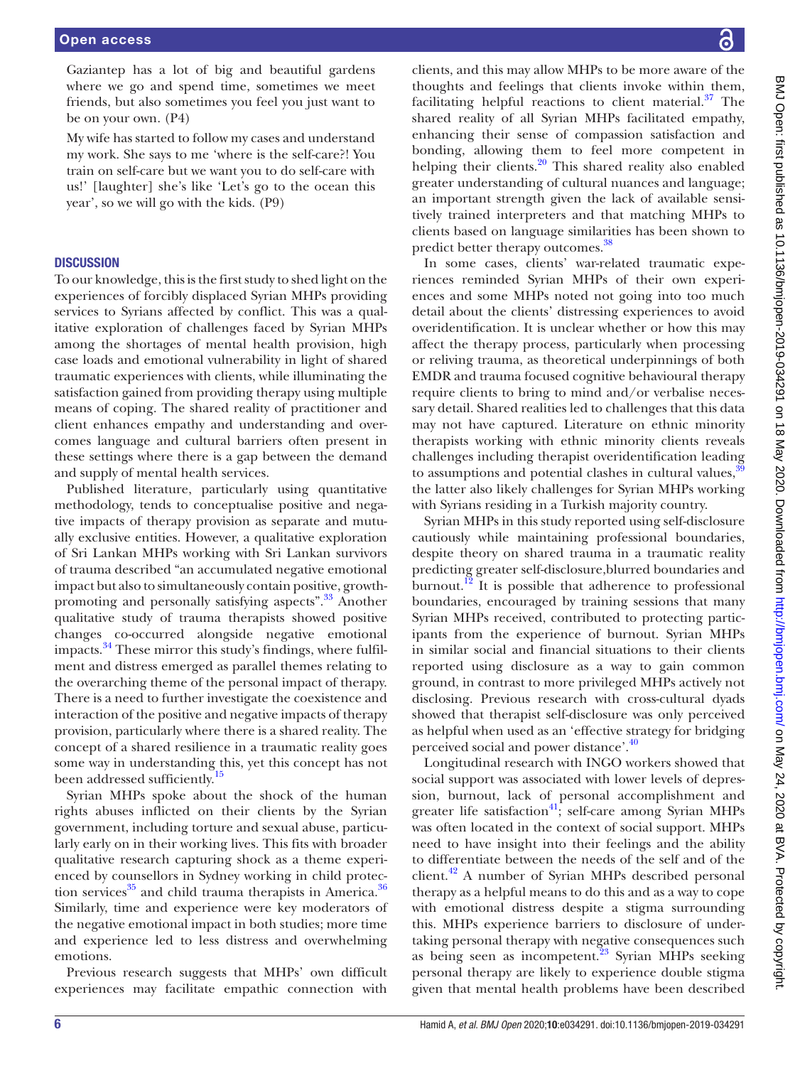Gaziantep has a lot of big and beautiful gardens where we go and spend time, sometimes we meet friends, but also sometimes you feel you just want to be on your own. (P4)

My wife has started to follow my cases and understand my work. She says to me 'where is the self-care?! You train on self-care but we want you to do self-care with us!' [laughter] she's like 'Let's go to the ocean this year', so we will go with the kids. (P9)

## **DISCUSSION**

To our knowledge, this is the first study to shed light on the experiences of forcibly displaced Syrian MHPs providing services to Syrians affected by conflict. This was a qualitative exploration of challenges faced by Syrian MHPs among the shortages of mental health provision, high case loads and emotional vulnerability in light of shared traumatic experiences with clients, while illuminating the satisfaction gained from providing therapy using multiple means of coping. The shared reality of practitioner and client enhances empathy and understanding and overcomes language and cultural barriers often present in these settings where there is a gap between the demand and supply of mental health services.

Published literature, particularly using quantitative methodology, tends to conceptualise positive and negative impacts of therapy provision as separate and mutually exclusive entities. However, a qualitative exploration of Sri Lankan MHPs working with Sri Lankan survivors of trauma described "an accumulated negative emotional impact but also to simultaneously contain positive, growthpromoting and personally satisfying aspects"[.33](#page-7-21) Another qualitative study of trauma therapists showed positive changes co-occurred alongside negative emotional impacts.<sup>[34](#page-7-22)</sup> These mirror this study's findings, where fulfilment and distress emerged as parallel themes relating to the overarching theme of the personal impact of therapy. There is a need to further investigate the coexistence and interaction of the positive and negative impacts of therapy provision, particularly where there is a shared reality. The concept of a shared resilience in a traumatic reality goes some way in understanding this, yet this concept has not been addressed sufficiently.<sup>[15](#page-7-6)</sup>

Syrian MHPs spoke about the shock of the human rights abuses inflicted on their clients by the Syrian government, including torture and sexual abuse, particularly early on in their working lives. This fits with broader qualitative research capturing shock as a theme experienced by counsellors in Sydney working in child protection services $35$  and child trauma therapists in America. $36$ Similarly, time and experience were key moderators of the negative emotional impact in both studies; more time and experience led to less distress and overwhelming emotions.

Previous research suggests that MHPs' own difficult experiences may facilitate empathic connection with

BMJ Open: first published as 10.1136/bmjopen-2019-034291 on 18 May 2020. Downloaded from http://bmjopen.bmj.com/ on May 24, 2020 at BVA. Protected by copyright BMJ Open: first published as 10.1136/bmjopen-2019-034291 on 18 May 2020. Downloaded from <http://bmjopen.bmj.com/> on May 24, 2020 at BVA. Protected by copyright.

clients, and this may allow MHPs to be more aware of the thoughts and feelings that clients invoke within them, facilitating helpful reactions to client material. $37$  The shared reality of all Syrian MHPs facilitated empathy, enhancing their sense of compassion satisfaction and bonding, allowing them to feel more competent in helping their clients. $20$  This shared reality also enabled greater understanding of cultural nuances and language; an important strength given the lack of available sensitively trained interpreters and that matching MHPs to clients based on language similarities has been shown to predict better therapy outcomes.<sup>38</sup>

In some cases, clients' war-related traumatic experiences reminded Syrian MHPs of their own experiences and some MHPs noted not going into too much detail about the clients' distressing experiences to avoid overidentification. It is unclear whether or how this may affect the therapy process, particularly when processing or reliving trauma, as theoretical underpinnings of both EMDR and trauma focused cognitive behavioural therapy require clients to bring to mind and/or verbalise necessary detail. Shared realities led to challenges that this data may not have captured. Literature on ethnic minority therapists working with ethnic minority clients reveals challenges including therapist overidentification leading to assumptions and potential clashes in cultural values,<sup>[39](#page-7-27)</sup> the latter also likely challenges for Syrian MHPs working with Syrians residing in a Turkish majority country.

Syrian MHPs in this study reported using self-disclosure cautiously while maintaining professional boundaries, despite theory on shared trauma in a traumatic reality predicting greater self-disclosure,blurred boundaries and burnout.<sup>[12](#page-7-4)</sup> It is possible that adherence to professional boundaries, encouraged by training sessions that many Syrian MHPs received, contributed to protecting participants from the experience of burnout. Syrian MHPs in similar social and financial situations to their clients reported using disclosure as a way to gain common ground, in contrast to more privileged MHPs actively not disclosing. Previous research with cross-cultural dyads showed that therapist self-disclosure was only perceived as helpful when used as an 'effective strategy for bridging perceived social and power distance'[.40](#page-7-28)

Longitudinal research with INGO workers showed that social support was associated with lower levels of depression, burnout, lack of personal accomplishment and greater life satisfaction<sup>41</sup>; self-care among Syrian MHPs was often located in the context of social support. MHPs need to have insight into their feelings and the ability to differentiate between the needs of the self and of the client.[42](#page-7-30) A number of Syrian MHPs described personal therapy as a helpful means to do this and as a way to cope with emotional distress despite a stigma surrounding this. MHPs experience barriers to disclosure of undertaking personal therapy with negative consequences such as being seen as incompetent. $23$  Syrian MHPs seeking personal therapy are likely to experience double stigma given that mental health problems have been described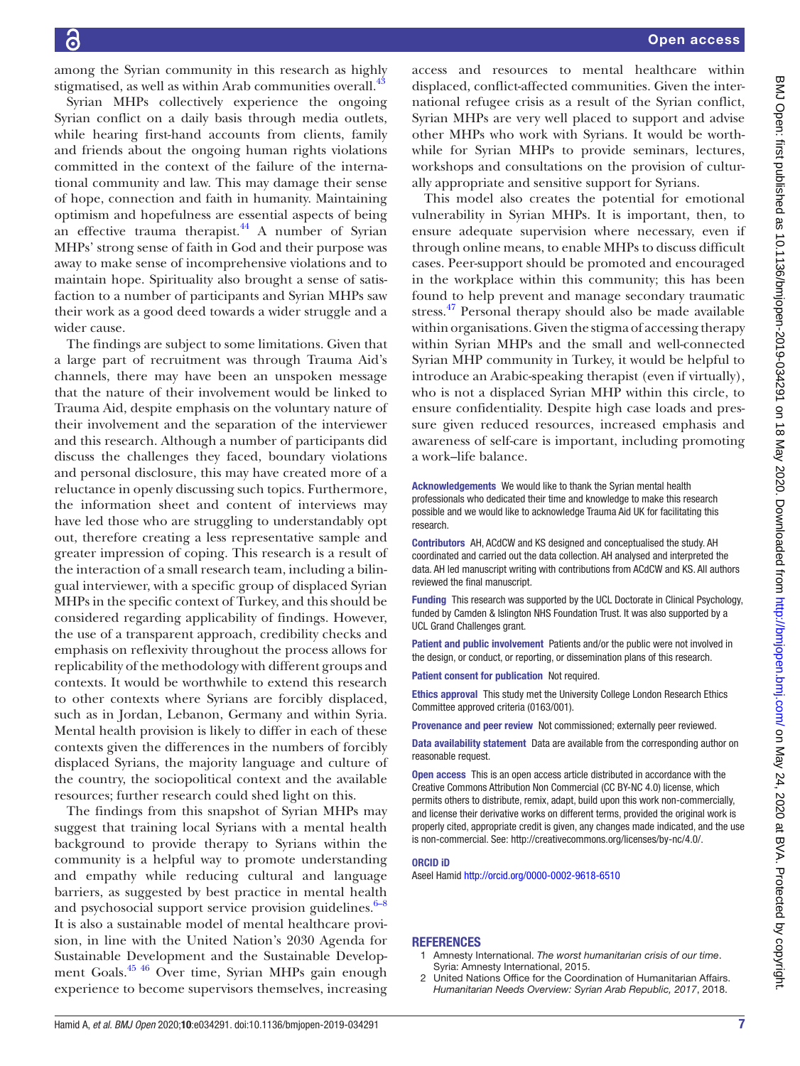among the Syrian community in this research as highly stigmatised, as well as within Arab communities overall.<sup>43</sup>

Syrian MHPs collectively experience the ongoing Syrian conflict on a daily basis through media outlets, while hearing first-hand accounts from clients, family and friends about the ongoing human rights violations committed in the context of the failure of the international community and law. This may damage their sense of hope, connection and faith in humanity. Maintaining optimism and hopefulness are essential aspects of being an effective trauma therapist. $44$  A number of Syrian MHPs' strong sense of faith in God and their purpose was away to make sense of incomprehensive violations and to maintain hope. Spirituality also brought a sense of satisfaction to a number of participants and Syrian MHPs saw their work as a good deed towards a wider struggle and a wider cause.

The findings are subject to some limitations. Given that a large part of recruitment was through Trauma Aid's channels, there may have been an unspoken message that the nature of their involvement would be linked to Trauma Aid, despite emphasis on the voluntary nature of their involvement and the separation of the interviewer and this research. Although a number of participants did discuss the challenges they faced, boundary violations and personal disclosure, this may have created more of a reluctance in openly discussing such topics. Furthermore, the information sheet and content of interviews may have led those who are struggling to understandably opt out, therefore creating a less representative sample and greater impression of coping. This research is a result of the interaction of a small research team, including a bilingual interviewer, with a specific group of displaced Syrian MHPs in the specific context of Turkey, and this should be considered regarding applicability of findings. However, the use of a transparent approach, credibility checks and emphasis on reflexivity throughout the process allows for replicability of the methodology with different groups and contexts. It would be worthwhile to extend this research to other contexts where Syrians are forcibly displaced, such as in Jordan, Lebanon, Germany and within Syria. Mental health provision is likely to differ in each of these contexts given the differences in the numbers of forcibly displaced Syrians, the majority language and culture of the country, the sociopolitical context and the available resources; further research could shed light on this.

The findings from this snapshot of Syrian MHPs may suggest that training local Syrians with a mental health background to provide therapy to Syrians within the community is a helpful way to promote understanding and empathy while reducing cultural and language barriers, as suggested by best practice in mental health and psychosocial support service provision guidelines. $6-8$ It is also a sustainable model of mental healthcare provision, in line with the United Nation's 2030 Agenda for Sustainable Development and the Sustainable Development Goals.[45 46](#page-7-34) Over time, Syrian MHPs gain enough experience to become supervisors themselves, increasing

access and resources to mental healthcare within displaced, conflict-affected communities. Given the international refugee crisis as a result of the Syrian conflict, Syrian MHPs are very well placed to support and advise other MHPs who work with Syrians. It would be worthwhile for Syrian MHPs to provide seminars, lectures, workshops and consultations on the provision of culturally appropriate and sensitive support for Syrians.

This model also creates the potential for emotional vulnerability in Syrian MHPs. It is important, then, to ensure adequate supervision where necessary, even if through online means, to enable MHPs to discuss difficult cases. Peer-support should be promoted and encouraged in the workplace within this community; this has been found to help prevent and manage secondary traumatic stress.<sup>[47](#page-7-35)</sup> Personal therapy should also be made available within organisations. Given the stigma of accessing therapy within Syrian MHPs and the small and well-connected Syrian MHP community in Turkey, it would be helpful to introduce an Arabic-speaking therapist (even if virtually), who is not a displaced Syrian MHP within this circle, to ensure confidentiality. Despite high case loads and pressure given reduced resources, increased emphasis and awareness of self-care is important, including promoting a work–life balance.

Acknowledgements We would like to thank the Syrian mental health professionals who dedicated their time and knowledge to make this research possible and we would like to acknowledge Trauma Aid UK for facilitating this research.

Contributors AH, ACdCW and KS designed and conceptualised the study. AH coordinated and carried out the data collection. AH analysed and interpreted the data. AH led manuscript writing with contributions from ACdCW and KS. All authors reviewed the final manuscript.

Funding This research was supported by the UCL Doctorate in Clinical Psychology, funded by Camden & Islington NHS Foundation Trust. It was also supported by a UCL Grand Challenges grant.

Patient and public involvement Patients and/or the public were not involved in the design, or conduct, or reporting, or dissemination plans of this research.

Patient consent for publication Not required.

Ethics approval This study met the University College London Research Ethics Committee approved criteria (0163/001).

Provenance and peer review Not commissioned; externally peer reviewed.

Data availability statement Data are available from the corresponding author on reasonable request.

**Open access** This is an open access article distributed in accordance with the Creative Commons Attribution Non Commercial (CC BY-NC 4.0) license, which permits others to distribute, remix, adapt, build upon this work non-commercially, and license their derivative works on different terms, provided the original work is properly cited, appropriate credit is given, any changes made indicated, and the use is non-commercial. See: [http://creativecommons.org/licenses/by-nc/4.0/.](http://creativecommons.org/licenses/by-nc/4.0/)

#### ORCID iD

Aseel Hamid <http://orcid.org/0000-0002-9618-6510>

#### <span id="page-6-0"></span>**REFERENCES**

- 1 Amnesty International. *The worst humanitarian crisis of our time*. Syria: Amnesty International, 2015.
- <span id="page-6-1"></span>2 United Nations Office for the Coordination of Humanitarian Affairs. *Humanitarian Needs Overview: Syrian Arab Republic, 2017*, 2018.